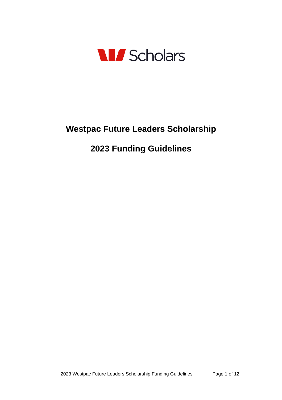

# **Westpac Future Leaders Scholarship**

# **Funding Guidelines**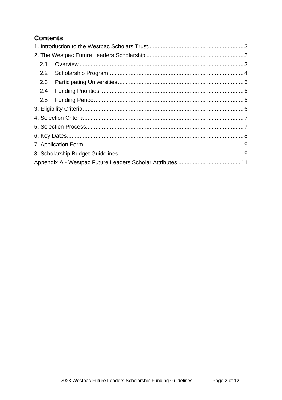## **Contents**

| 2.1 |  |
|-----|--|
| 2.2 |  |
| 2.3 |  |
| 2.4 |  |
|     |  |
|     |  |
|     |  |
|     |  |
|     |  |
|     |  |
|     |  |
|     |  |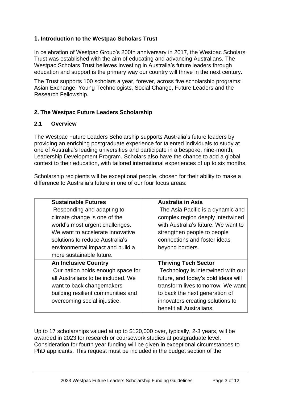#### <span id="page-2-0"></span>**1. Introduction to the Westpac Scholars Trust**

In celebration of Westpac Group's 200th anniversary in 2017, the Westpac Scholars Trust was established with the aim of educating and advancing Australians. The Westpac Scholars Trust believes investing in Australia's future leaders through education and support is the primary way our country will thrive in the next century.

The Trust supports 100 scholars a year, forever, across five scholarship programs: Asian Exchange, Young Technologists, Social Change, Future Leaders and the Research Fellowship.

## <span id="page-2-1"></span>**2. The Westpac Future Leaders Scholarship**

#### <span id="page-2-2"></span>**2.1 Overview**

The Westpac Future Leaders Scholarship supports Australia's future leaders by providing an enriching postgraduate experience for talented individuals to study at one of Australia's leading universities and participate in a bespoke, nine-month, Leadership Development Program. Scholars also have the chance to add a global context to their education, with tailored international experiences of up to six months.

Scholarship recipients will be exceptional people, chosen for their ability to make a difference to Australia's future in one of our four focus areas:

| <b>Sustainable Futures</b>         | <b>Australia in Asia</b>            |
|------------------------------------|-------------------------------------|
| Responding and adapting to         | The Asia Pacific is a dynamic and   |
| climate change is one of the       | complex region deeply intertwined   |
| world's most urgent challenges.    | with Australia's future. We want to |
| We want to accelerate innovative   | strengthen people to people         |
| solutions to reduce Australia's    | connections and foster ideas        |
| environmental impact and build a   | beyond borders.                     |
| more sustainable future.           |                                     |
| <b>An Inclusive Country</b>        | <b>Thriving Tech Sector</b>         |
| Our nation holds enough space for  | Technology is intertwined with our  |
| all Australians to be included. We | future, and today's bold ideas will |
| want to back changemakers          | transform lives tomorrow. We want   |
| building resilient communities and | to back the next generation of      |
| overcoming social injustice.       | innovators creating solutions to    |
|                                    | benefit all Australians.            |

Up to 17 scholarships valued at up to \$120,000 over, typically, 2-3 years, will be awarded in 2023 for research or coursework studies at postgraduate level. Consideration for fourth year funding will be given in exceptional circumstances to PhD applicants. This request must be included in the budget section of the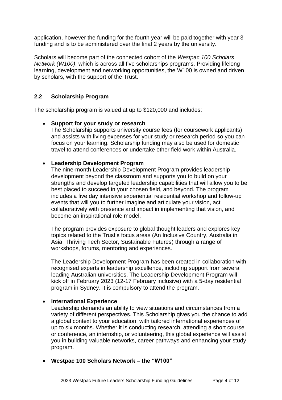application, however the funding for the fourth year will be paid together with year 3 funding and is to be administered over the final 2 years by the university.

Scholars will become part of the connected cohort of the *Westpac 100 Scholars Network (W100)*, which is across all five scholarships programs. Providing lifelong learning, development and networking opportunities, the W100 is owned and driven by scholars, with the support of the Trust.

#### <span id="page-3-0"></span>**2.2 Scholarship Program**

The scholarship program is valued at up to \$120,000 and includes:

#### • **Support for your study or research**

The Scholarship supports university course fees (for coursework applicants) and assists with living expenses for your study or research period so you can focus on your learning. Scholarship funding may also be used for domestic travel to attend conferences or undertake other field work within Australia.

#### • **Leadership Development Program**

The nine-month Leadership Development Program provides leadership development beyond the classroom and supports you to build on your strengths and develop targeted leadership capabilities that will allow you to be best placed to succeed in your chosen field, and beyond. The program includes a five day intensive experiential residential workshop and follow-up events that will you to further imagine and articulate your vision, act collaboratively with presence and impact in implementing that vision, and become an inspirational role model.

The program provides exposure to global thought leaders and explores key topics related to the Trust's focus areas (An Inclusive Country, Australia in Asia, Thriving Tech Sector, Sustainable Futures) through a range of workshops, forums, mentoring and experiences.

The Leadership Development Program has been created in collaboration with recognised experts in leadership excellence, including support from several leading Australian universities. The Leadership Development Program will kick off in February 2023 (12-17 February inclusive) with a 5-day residential program in Sydney. It is compulsory to attend the program.

#### • **International Experience**

Leadership demands an ability to view situations and circumstances from a variety of different perspectives. This Scholarship gives you the chance to add a global context to your education, with tailored international experiences of up to six months. Whether it is conducting research, attending a short course or conference, an internship, or volunteering, this global experience will assist you in building valuable networks, career pathways and enhancing your study program.

• **Westpac 100 Scholars Network – the "W100"**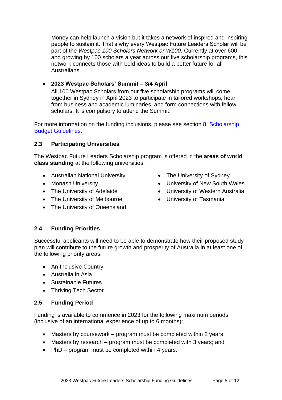Money can help launch a vision but it takes a network of inspired and inspiring people to sustain it. That's why every Westpac Future Leaders Scholar will be part of the *Westpac 100 Scholars Network or W100.* Currently at over 600 and growing by 100 scholars a year across our five scholarship programs, this network connects those with bold ideas to build a better future for all Australians.

#### • **2023 Westpac Scholars' Summit – 3/4 April**

All 100 Westpac Scholars from our five scholarship programs will come together in Sydney in April 2023 to participate in tailored workshops, hear from business and academic luminaries, and form connections with fellow scholars. It is compulsory to attend the Summit.

For more information on the funding inclusions, please see section [8. Scholarship](#page-9-0)  [Budget Guidelines.](#page-9-0)

#### <span id="page-4-0"></span>**2.3 Participating Universities**

The Westpac Future Leaders Scholarship program is offered in the **areas of world class standing** at the following universities:

- Australian National University
- Monash University
- The University of Adelaide
- The University of Melbourne
- The University of Queensland
- The University of Sydney
- University of New South Wales
- University of Western Australia
- <span id="page-4-1"></span>• University of Tasmania

## **2.4 Funding Priorities**

Successful applicants will need to be able to demonstrate how their proposed study plan will contribute to the future growth and prosperity of Australia in at least one of the following priority areas:

- An Inclusive Country
- Australia in Asia
- Sustainable Futures
- Thriving Tech Sector

## <span id="page-4-2"></span>**2.5 Funding Period**

Funding is available to commence in 2023 for the following maximum periods (inclusive of an international experience of up to 6 months):

- Masters by coursework program must be completed within 2 years;
- Masters by research program must be completed with 3 years; and
- PhD program must be completed within 4 years.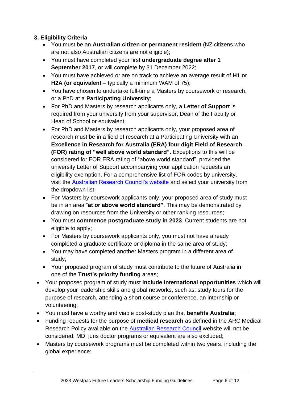## <span id="page-5-0"></span>**3. Eligibility Criteria**

- You must be an **Australian citizen or permanent resident** (NZ citizens who are not also Australian citizens are not eligible);
- You must have completed your first **undergraduate degree after 1 September 2017**, or will complete by 31 December 2022;
- You must have achieved or are on track to achieve an average result of **H1 or H2A (or equivalent** – typically a minimum WAM of 75);
- You have chosen to undertake full-time a Masters by coursework or research, or a PhD at a **Participating University**;
- For PhD and Masters by research applicants only, **a Letter of Support** is required from your university from your supervisor, Dean of the Faculty or Head of School or equivalent;
- For PhD and Masters by research applicants only, your proposed area of research must be in a field of research at a Participating University with an **Excellence in Research for Australia (ERA) four digit Field of Research (FOR) rating of "well above world standard"**. Exceptions to this will be considered for FOR ERA rating of "above world standard", provided the university Letter of Support accompanying your application requests an eligibility exemption. For a comprehensive list of FOR codes by university, visit the [Australian Research Council's website](https://dataportal.arc.gov.au/ERA/Web/Outcomes#/institution/ANU) and select your university from the dropdown list;
- For Masters by coursework applicants only, your proposed area of study must be in an area "**at or above world standard"**. This may be demonstrated by drawing on resources from the University or other ranking resources;
- You must **commence postgraduate study in 2023**. Current students are not eligible to apply;
- For Masters by coursework applicants only, you must not have already completed a graduate certificate or diploma in the same area of study;
- You may have completed another Masters program in a different area of study;
- Your proposed program of study must contribute to the future of Australia in one of the **Trust's priority funding** areas;
- Your proposed program of study must **include international opportunities** which will develop your leadership skills and global networks, such as; study tours for the purpose of research, attending a short course or conference, an internship or volunteering;
- You must have a worthy and viable post-study plan that **benefits Australia**;
- Funding requests for the purpose of **medical research** as defined in the ARC Medical Research Policy available on the [Australian Research Council](http://www.arc.gov.au/arc-medical-research-policy) website will not be considered; MD, juris doctor programs or equivalent are also excluded;
- Masters by coursework programs must be completed within two years, including the global experience;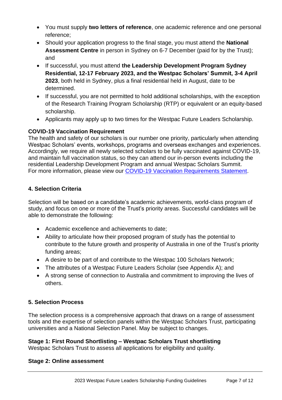- You must supply **two letters of reference**, one academic reference and one personal reference;
- Should your application progress to the final stage, you must attend the **National Assessment Centre** in person in Sydney on 6-7 December (paid for by the Trust); and
- If successful, you must attend **the Leadership Development Program Sydney Residential, 12-17 February 2023, and the Westpac Scholars' Summit, 3-4 April 2023**, both held in Sydney, plus a final residential held in August, date to be determined.
- If successful, you are not permitted to hold additional scholarships, with the exception of the Research Training Program Scholarship (RTP) or equivalent or an equity-based scholarship.
- Applicants may apply up to two times for the Westpac Future Leaders Scholarship.

## **COVID-19 Vaccination Requirement**

The health and safety of our scholars is our number one priority, particularly when attending Westpac Scholars' events, workshops, programs and overseas exchanges and experiences. Accordingly, we require all newly selected scholars to be fully vaccinated against COVID-19, and maintain full vaccination status, so they can attend our in-person events including the residential Leadership Development Program and annual Westpac Scholars Summit. For more information, please view our [COVID-19 Vaccination Requirements Statement.](https://westpacfoundation--c.aus23.content.sfdc-vwfla6.force.com/servlet/servlet.FileDownload?file=0159o00000094f3)

## <span id="page-6-0"></span>**4. Selection Criteria**

Selection will be based on a candidate's academic achievements, world-class program of study, and focus on one or more of the Trust's priority areas. Successful candidates will be able to demonstrate the following:

- Academic excellence and achievements to date;
- Ability to articulate how their proposed program of study has the potential to contribute to the future growth and prosperity of Australia in one of the Trust's priority funding areas;
- A desire to be part of and contribute to the Westpac 100 Scholars Network;
- The attributes of a Westpac Future Leaders Scholar (see Appendix A); and
- A strong sense of connection to Australia and commitment to improving the lives of others.

#### <span id="page-6-1"></span>**5. Selection Process**

The selection process is a comprehensive approach that draws on a range of assessment tools and the expertise of selection panels within the Westpac Scholars Trust, participating universities and a National Selection Panel. May be subject to changes.

## **Stage 1: First Round Shortlisting – Westpac Scholars Trust shortlisting**

Westpac Scholars Trust to assess all applications for eligibility and quality.

#### **Stage 2: Online assessment**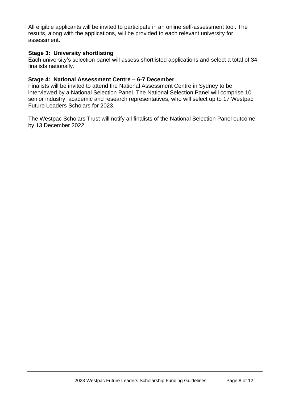All eligible applicants will be invited to participate in an online self-assessment tool. The results, along with the applications, will be provided to each relevant university for assessment.

#### **Stage 3: University shortlisting**

Each university's selection panel will assess shortlisted applications and select a total of 34 finalists nationally.

#### **Stage 4: National Assessment Centre – 6-7 December**

Finalists will be invited to attend the National Assessment Centre in Sydney to be interviewed by a National Selection Panel. The National Selection Panel will comprise 10 senior industry, academic and research representatives, who will select up to 17 Westpac Future Leaders Scholars for 2023.

<span id="page-7-0"></span>The Westpac Scholars Trust will notify all finalists of the National Selection Panel outcome by 13 December 2022.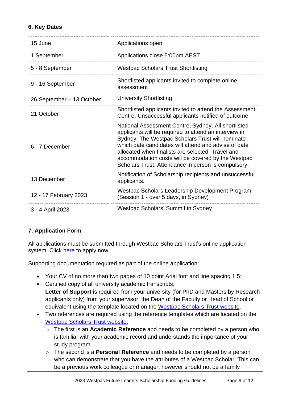#### **6. Key Dates**

| 15 June                   | Applications open                                                                                                                                                                                                                                                                                                                                                                          |
|---------------------------|--------------------------------------------------------------------------------------------------------------------------------------------------------------------------------------------------------------------------------------------------------------------------------------------------------------------------------------------------------------------------------------------|
| 1 September               | Applications close 5:00pm AEST                                                                                                                                                                                                                                                                                                                                                             |
| 5 - 8 September           | <b>Westpac Scholars Trust Shortlisting</b>                                                                                                                                                                                                                                                                                                                                                 |
| 9 - 16 September          | Shortlisted applicants invited to complete online<br>assessment                                                                                                                                                                                                                                                                                                                            |
| 26 September - 13 October | <b>University Shortlisting</b>                                                                                                                                                                                                                                                                                                                                                             |
| 21 October                | Shortlisted applicants invited to attend the Assessment<br>Centre. Unsuccessful applicants notified of outcome.                                                                                                                                                                                                                                                                            |
| 6 - 7 December            | National Assessment Centre, Sydney. All shortlisted<br>applicants will be required to attend an interview in<br>Sydney. The Westpac Scholars Trust will nominate<br>which date candidates will attend and advise of date<br>allocated when finalists are selected. Travel and<br>accommodation costs will be covered by the Westpac<br>Scholars Trust. Attendance in person is compulsory. |
| 13 December               | Notification of Scholarship recipients and unsuccessful<br>applicants.                                                                                                                                                                                                                                                                                                                     |
| 12 - 17 February 2023     | Westpac Scholars Leadership Development Program<br>(Session 1 - over 5 days, in Sydney)                                                                                                                                                                                                                                                                                                    |
| 3 - 4 April 2023          | Westpac Scholars' Summit in Sydney                                                                                                                                                                                                                                                                                                                                                         |

## <span id="page-8-0"></span>**7. Application Form**

All applications must be submitted through Westpac Scholars Trust's online application system. Click [here](https://scholars.westpacgroup.com.au/scholarships/future-leaders/) to apply now.

Supporting documentation required as part of the online application:

- Your CV of no more than two pages of 10 point Arial font and line spacing 1.5;
- Certified copy of all university academic transcripts; **Letter of Support** is required from your university (for PhD and Masters by Research applicants only) from your supervisor, the Dean of the Faculty or Head of School or equivalent using the template located on the Westpac [Scholars Trust](https://scholars.westpacgroup.com.au/scholarships/future-leaders/) website.
- Two references are required using the reference templates which are located on the [Westpac Scholars Trust](https://scholars.westpacgroup.com.au/scholarships/future-leaders/) website:
	- o The first is an **Academic Reference** and needs to be completed by a person who is familiar with your academic record and understands the importance of your study program.
	- o The second is a **Personal Reference** and needs to be completed by a person who can demonstrate that you have the attributes of a Westpac Scholar. This can be a previous work colleague or manager, however should not be a family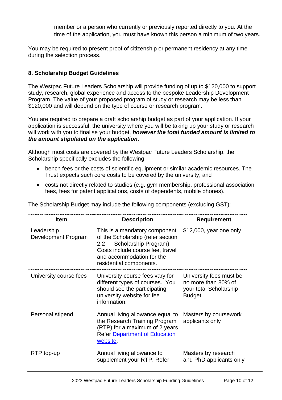member or a person who currently or previously reported directly to you. At the time of the application, you must have known this person a minimum of two years.

You may be required to present proof of citizenship or permanent residency at any time during the selection process.

#### <span id="page-9-0"></span>**8. Scholarship Budget Guidelines**

The Westpac Future Leaders Scholarship will provide funding of up to \$120,000 to support study, research, global experience and access to the bespoke Leadership Development Program. The value of your proposed program of study or research may be less than \$120,000 and will depend on the type of course or research program.

You are required to prepare a draft scholarship budget as part of your application. If your application is successful, the university where you will be taking up your study or research will work with you to finalise your budget, *however the total funded amount is limited to the amount stipulated on the application*.

Although most costs are covered by the Westpac Future Leaders Scholarship, the Scholarship specifically excludes the following:

- bench fees or the costs of scientific equipment or similar academic resources. The Trust expects such core costs to be covered by the university; and
- costs not directly related to studies (e.g. gym membership, professional association fees, fees for patent applications, costs of dependents, mobile phones).

| <b>Item</b>                       | <b>Description</b>                                                                                                                                                                             | <b>Requirement</b>                                                                  |
|-----------------------------------|------------------------------------------------------------------------------------------------------------------------------------------------------------------------------------------------|-------------------------------------------------------------------------------------|
| Leadership<br>Development Program | This is a mandatory component<br>of the Scholarship (refer section<br>Scholarship Program).<br>2.2<br>Costs include course fee, travel<br>and accommodation for the<br>residential components. | \$12,000, year one only                                                             |
| University course fees            | University course fees vary for<br>different types of courses. You<br>should see the participating<br>university website for fee<br>information.                                               | University fees must be<br>no more than 80% of<br>your total Scholarship<br>Budget. |
| Personal stipend                  | Annual living allowance equal to<br>the Research Training Program<br>(RTP) for a maximum of 2 years<br><b>Refer Department of Education</b><br>website.                                        | Masters by coursework<br>applicants only                                            |
| RTP top-up                        | Annual living allowance to<br>supplement your RTP. Refer                                                                                                                                       | Masters by research<br>and PhD applicants only                                      |

The Scholarship Budget may include the following components (excluding GST):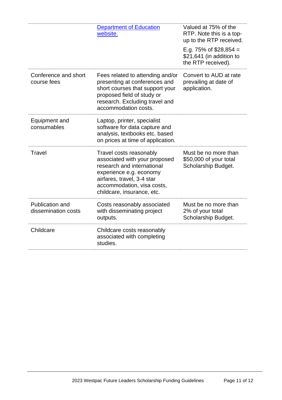<span id="page-10-0"></span>

|                                        | <b>Department of Education</b><br>website.                                                                                                                                                                  | Valued at 75% of the<br>RTP. Note this is a top-<br>up to the RTP received.<br>E.g. 75% of $$28,854 =$<br>\$21,641 (in addition to<br>the RTP received). |
|----------------------------------------|-------------------------------------------------------------------------------------------------------------------------------------------------------------------------------------------------------------|----------------------------------------------------------------------------------------------------------------------------------------------------------|
| Conference and short<br>course fees    | Fees related to attending and/or<br>presenting at conferences and<br>short courses that support your<br>proposed field of study or<br>research. Excluding travel and<br>accommodation costs.                | Convert to AUD at rate<br>prevailing at date of<br>application.                                                                                          |
| Equipment and<br>consumables           | Laptop, printer, specialist<br>software for data capture and<br>analysis, textbooks etc. based<br>on prices at time of application.                                                                         |                                                                                                                                                          |
| Travel                                 | Travel costs reasonably<br>associated with your proposed<br>research and international<br>experience e.g. economy<br>airfares, travel, 3-4 star<br>accommodation, visa costs,<br>childcare, insurance, etc. | Must be no more than<br>\$50,000 of your total<br>Scholarship Budget.                                                                                    |
| Publication and<br>dissemination costs | Costs reasonably associated<br>with disseminating project<br>outputs.                                                                                                                                       | Must be no more than<br>2% of your total<br>Scholarship Budget.                                                                                          |
| Childcare                              | Childcare costs reasonably<br>associated with completing<br>studies.                                                                                                                                        |                                                                                                                                                          |